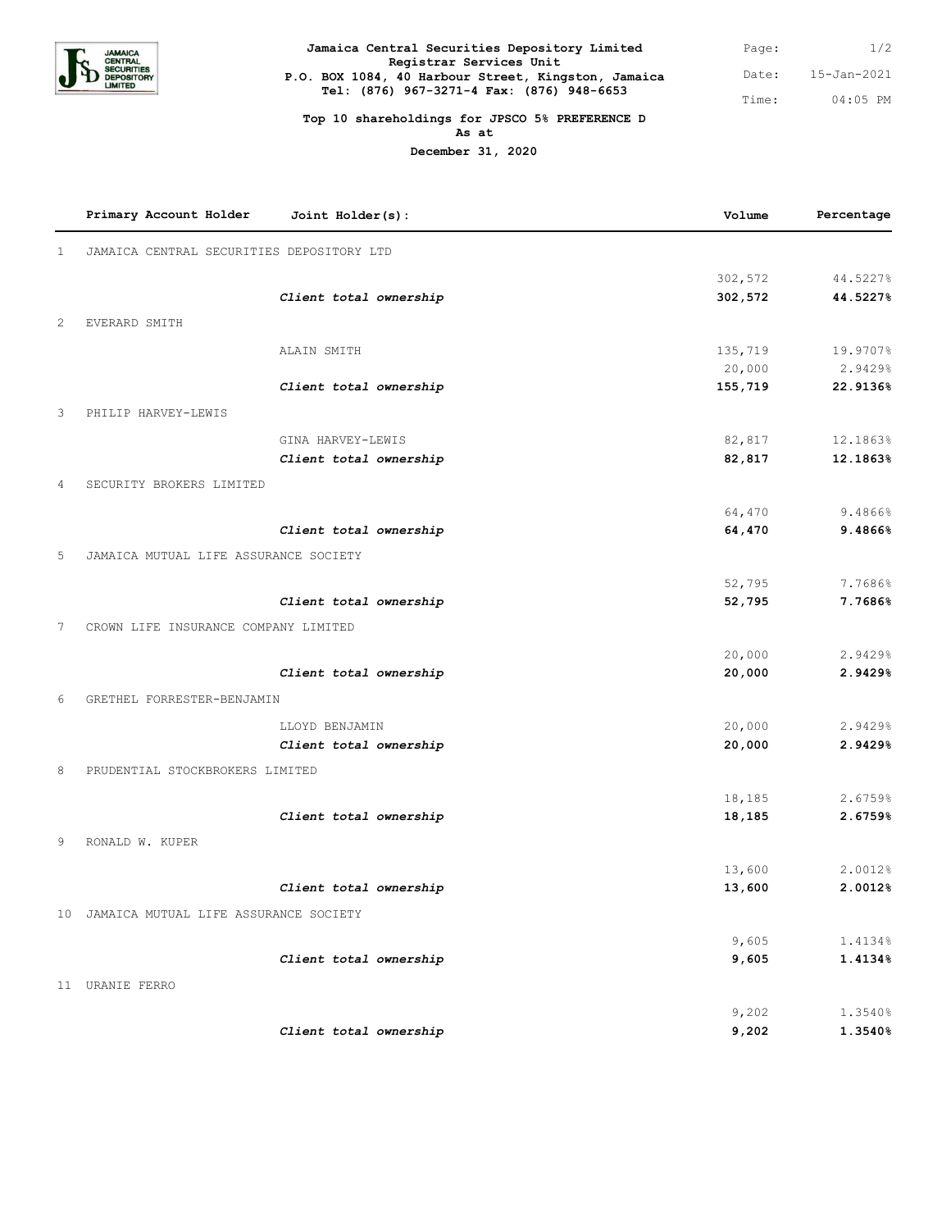

| Jamaica Central Securities Depository Limited                                                    | Page: | 1/2         |
|--------------------------------------------------------------------------------------------------|-------|-------------|
| Registrar Services Unit                                                                          |       |             |
| P.O. BOX 1084, 40 Harbour Street, Kingston, Jamaica<br>Tel: (876) 967-3271-4 Fax: (876) 948-6653 | Date: | 15-Jan-2021 |
|                                                                                                  | Time: | $04:05$ PM  |

## **Top 10 shareholdings for JPSCO 5% PREFERENCE D As at**

**December 31, 2020**

|                | Primary Account Holder                    | Joint Holder(s):       | Volume         | Percentage         |
|----------------|-------------------------------------------|------------------------|----------------|--------------------|
| $\mathbf{1}$   | JAMAICA CENTRAL SECURITIES DEPOSITORY LTD |                        |                |                    |
|                |                                           |                        | 302,572        | 44.5227%           |
|                |                                           | Client total ownership | 302,572        | 44.5227%           |
| 2              | EVERARD SMITH                             |                        |                |                    |
|                |                                           | ALAIN SMITH            | 135,719        | 19.9707%           |
|                |                                           |                        | 20,000         | 2.9429%            |
|                |                                           | Client total ownership | 155,719        | 22.9136%           |
| 3              | PHILIP HARVEY-LEWIS                       |                        |                |                    |
|                |                                           | GINA HARVEY-LEWIS      | 82,817         | 12.1863%           |
|                |                                           | Client total ownership | 82,817         | 12.1863%           |
| 4              | SECURITY BROKERS LIMITED                  |                        |                |                    |
|                |                                           |                        | 64,470         | 9.4866%            |
|                |                                           | Client total ownership | 64,470         | 9.4866%            |
| 5              | JAMAICA MUTUAL LIFE ASSURANCE SOCIETY     |                        |                |                    |
|                |                                           |                        | 52,795         | 7.7686%            |
|                |                                           | Client total ownership | 52,795         | 7.7686%            |
| $\overline{7}$ | CROWN LIFE INSURANCE COMPANY LIMITED      |                        |                |                    |
|                |                                           |                        | 20,000         | 2.9429%            |
|                |                                           | Client total ownership | 20,000         | 2.9429%            |
| 6              | GRETHEL FORRESTER-BENJAMIN                |                        |                |                    |
|                |                                           | LLOYD BENJAMIN         | 20,000         | 2.9429%            |
|                |                                           | Client total ownership | 20,000         | 2.9429%            |
| 8              | PRUDENTIAL STOCKBROKERS LIMITED           |                        |                |                    |
|                |                                           |                        | 18,185         | 2.6759%            |
|                |                                           | Client total ownership | 18,185         | 2.6759%            |
| 9              | RONALD W. KUPER                           |                        |                |                    |
|                |                                           |                        | 13,600         | 2.0012%            |
|                |                                           | Client total ownership | 13,600         | 2.0012%            |
|                | 10 JAMAICA MUTUAL LIFE ASSURANCE SOCIETY  |                        |                |                    |
|                |                                           |                        | 9,605          | 1.4134%            |
|                |                                           | Client total ownership | 9,605          | 1.4134%            |
|                | 11 URANIE FERRO                           |                        |                |                    |
|                |                                           |                        |                |                    |
|                |                                           | Client total ownership | 9,202<br>9,202 | 1.3540%<br>1.3540% |
|                |                                           |                        |                |                    |